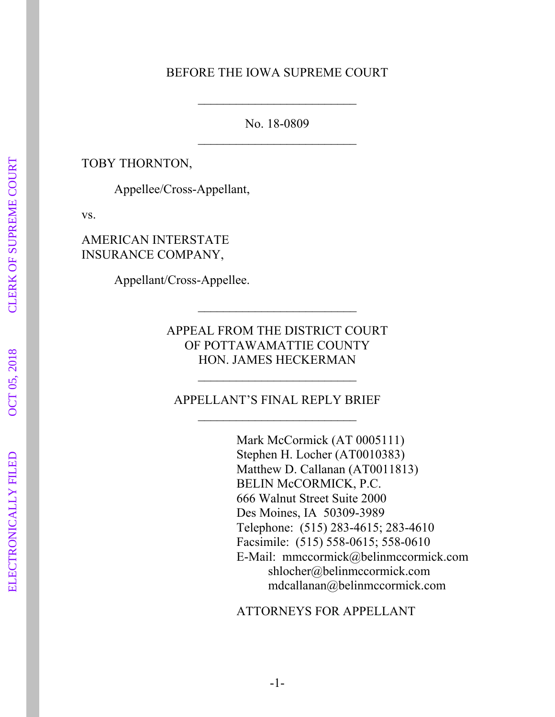#### BEFORE THE IOWA SUPREME COURT

No. 18-0809

TOBY THORNTON,

Appellee/Cross-Appellant,

vs.

AMERICAN INTERSTATE INSURANCE COMPANY,

Appellant/Cross-Appellee.

APPEAL FROM THE DISTRICT COURT OF POTTAWAMATTIE COUNTY HON. JAMES HECKERMAN

APPELLANT'S FINAL REPLY BRIEF

Mark McCormick (AT 0005111) Stephen H. Locher (AT0010383) Matthew D. Callanan (AT0011813) BELIN McCORMICK, P.C. 666 Walnut Street Suite 2000 Des Moines, IA 50309-3989 Telephone: (515) 283-4615; 283-4610 Facsimile: (515) 558-0615; 558-0610 E-Mail: mmccormick@belinmccormick.com shlocher@belinmccormick.com mdcallanan@belinmccormick.com

ATTORNEYS FOR APPELLANT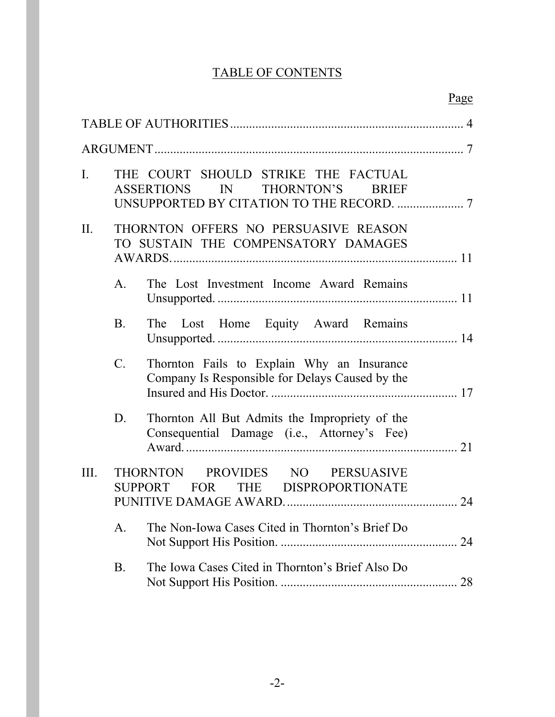# TABLE OF CONTENTS

|                |                 |                                                                                               | Page |
|----------------|-----------------|-----------------------------------------------------------------------------------------------|------|
|                |                 |                                                                                               |      |
|                |                 |                                                                                               |      |
| $\mathbf{I}$ . |                 | THE COURT SHOULD STRIKE THE FACTUAL<br>IN THORNTON'S<br>ASSERTIONS<br><b>BRIEF</b>            |      |
| $\prod$        |                 | THORNTON OFFERS NO PERSUASIVE REASON<br>TO SUSTAIN THE COMPENSATORY DAMAGES                   |      |
|                | $A_{\cdot}$     | The Lost Investment Income Award Remains                                                      |      |
|                | <b>B</b> .      | The Lost Home Equity Award Remains                                                            |      |
|                | $\mathcal{C}$ . | Thornton Fails to Explain Why an Insurance<br>Company Is Responsible for Delays Caused by the |      |
|                | D.              | Thornton All But Admits the Impropriety of the<br>Consequential Damage (i.e., Attorney's Fee) | 21   |
| III.           |                 | THORNTON PROVIDES NO PERSUASIVE<br>SUPPORT FOR THE DISPROPORTIONATE                           | 24   |
|                | A.              | The Non-Iowa Cases Cited in Thornton's Brief Do                                               |      |
|                | <b>B</b> .      | The Iowa Cases Cited in Thornton's Brief Also Do                                              |      |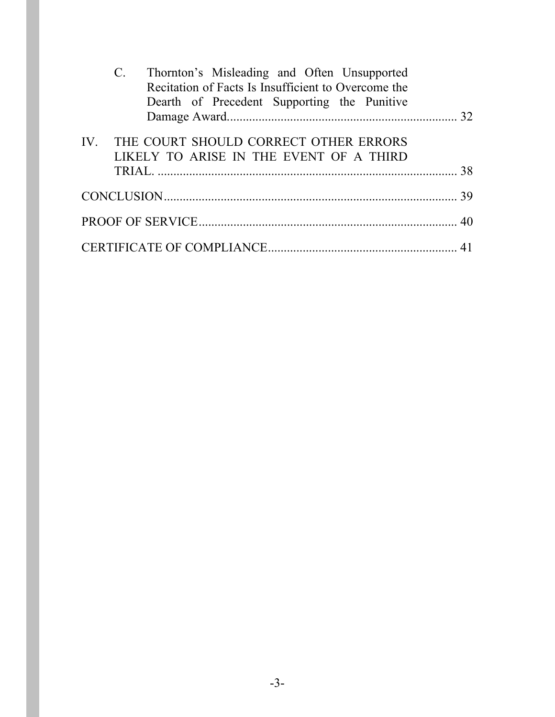|  | Thornton's Misleading and Often Unsupported<br>Recitation of Facts Is Insufficient to Overcome the<br>Dearth of Precedent Supporting the Punitive |  |  |  |    |
|--|---------------------------------------------------------------------------------------------------------------------------------------------------|--|--|--|----|
|  |                                                                                                                                                   |  |  |  | 32 |
|  | IV. THE COURT SHOULD CORRECT OTHER ERRORS<br>LIKELY TO ARISE IN THE EVENT OF A THIRD                                                              |  |  |  |    |
|  |                                                                                                                                                   |  |  |  |    |
|  |                                                                                                                                                   |  |  |  |    |
|  |                                                                                                                                                   |  |  |  |    |
|  |                                                                                                                                                   |  |  |  |    |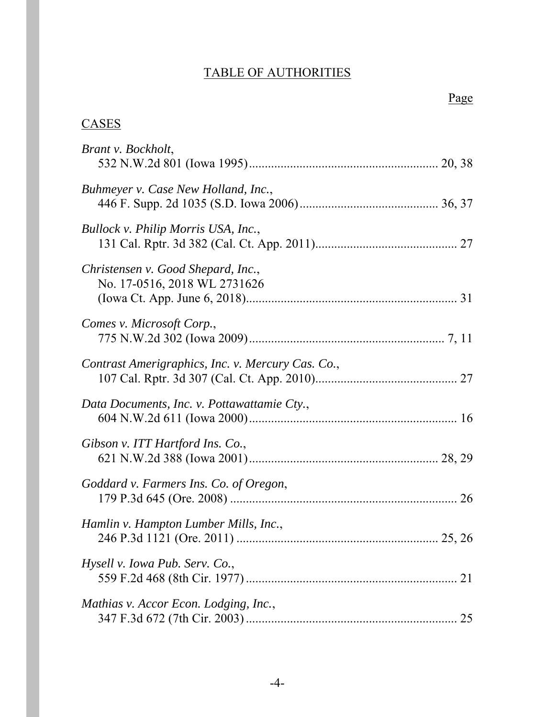# TABLE OF AUTHORITIES

Page

# **CASES**

| Brant v. Bockholt,                                                 |
|--------------------------------------------------------------------|
| Buhmeyer v. Case New Holland, Inc.,                                |
| Bullock v. Philip Morris USA, Inc.,                                |
| Christensen v. Good Shepard, Inc.,<br>No. 17-0516, 2018 WL 2731626 |
| Comes v. Microsoft Corp.,                                          |
| Contrast Amerigraphics, Inc. v. Mercury Cas. Co.,                  |
| Data Documents, Inc. v. Pottawattamie Cty.,                        |
| Gibson v. ITT Hartford Ins. Co.,                                   |
| Goddard v. Farmers Ins. Co. of Oregon,<br>26                       |
| Hamlin v. Hampton Lumber Mills, Inc.,                              |
| Hysell v. Iowa Pub. Serv. Co.,<br>21                               |
| Mathias v. Accor Econ. Lodging, Inc.,<br>25                        |

-4-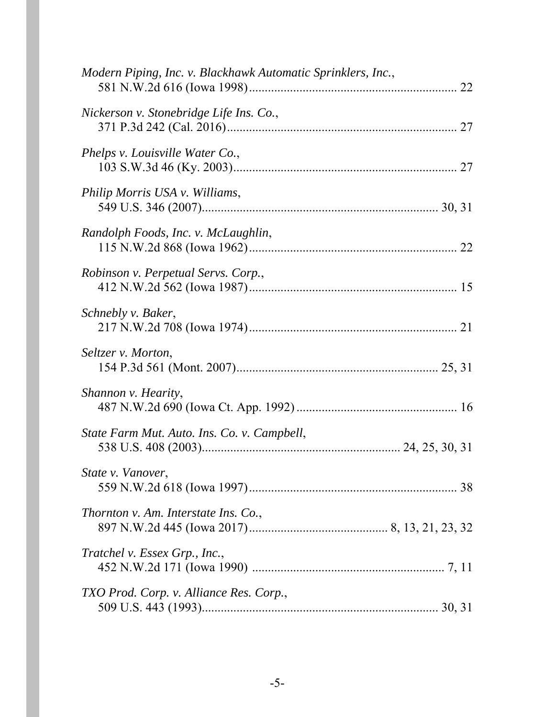| Modern Piping, Inc. v. Blackhawk Automatic Sprinklers, Inc., |  |
|--------------------------------------------------------------|--|
| Nickerson v. Stonebridge Life Ins. Co.,                      |  |
| Phelps v. Louisville Water Co.,                              |  |
| Philip Morris USA v. Williams,                               |  |
| Randolph Foods, Inc. v. McLaughlin,                          |  |
| Robinson v. Perpetual Servs. Corp.,                          |  |
| Schnebly v. Baker,                                           |  |
| Seltzer v. Morton,                                           |  |
| Shannon v. Hearity,                                          |  |
| State Farm Mut. Auto. Ins. Co. v. Campbell,                  |  |
| State v. Vanover,                                            |  |
| Thornton v. Am. Interstate Ins. Co.,                         |  |
| Tratchel v. Essex Grp., Inc.,                                |  |
| TXO Prod. Corp. v. Alliance Res. Corp.,                      |  |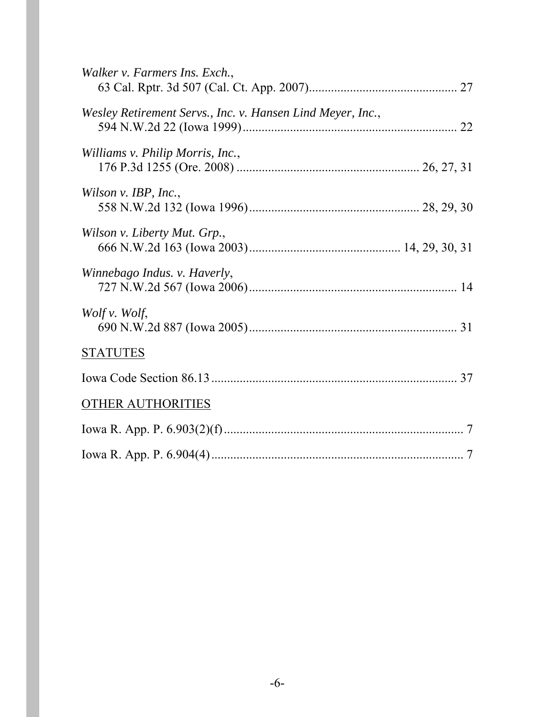| Walker v. Farmers Ins. Exch.,                              |  |
|------------------------------------------------------------|--|
| Wesley Retirement Servs., Inc. v. Hansen Lind Meyer, Inc., |  |
| Williams v. Philip Morris, Inc.,                           |  |
| Wilson v. IBP, Inc.,                                       |  |
| Wilson v. Liberty Mut. Grp.,                               |  |
| Winnebago Indus. v. Haverly,                               |  |
| Wolf v. Wolf,                                              |  |
| <b>STATUTES</b>                                            |  |
|                                                            |  |
| <b>OTHER AUTHORITIES</b>                                   |  |
|                                                            |  |
|                                                            |  |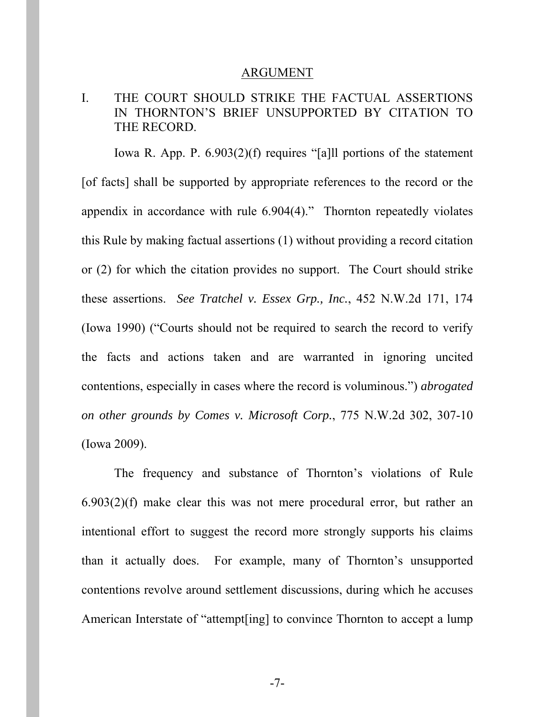#### ARGUMENT

## I. THE COURT SHOULD STRIKE THE FACTUAL ASSERTIONS IN THORNTON'S BRIEF UNSUPPORTED BY CITATION TO THE RECORD.

Iowa R. App. P. 6.903(2)(f) requires "[a]ll portions of the statement [of facts] shall be supported by appropriate references to the record or the appendix in accordance with rule 6.904(4)." Thornton repeatedly violates this Rule by making factual assertions (1) without providing a record citation or (2) for which the citation provides no support. The Court should strike these assertions. *See Tratchel v. Essex Grp., Inc.*, 452 N.W.2d 171, 174 (Iowa 1990) ("Courts should not be required to search the record to verify the facts and actions taken and are warranted in ignoring uncited contentions, especially in cases where the record is voluminous.") *abrogated on other grounds by Comes v. Microsoft Corp.*, 775 N.W.2d 302, 307-10 (Iowa 2009).

The frequency and substance of Thornton's violations of Rule 6.903(2)(f) make clear this was not mere procedural error, but rather an intentional effort to suggest the record more strongly supports his claims than it actually does. For example, many of Thornton's unsupported contentions revolve around settlement discussions, during which he accuses American Interstate of "attempt[ing] to convince Thornton to accept a lump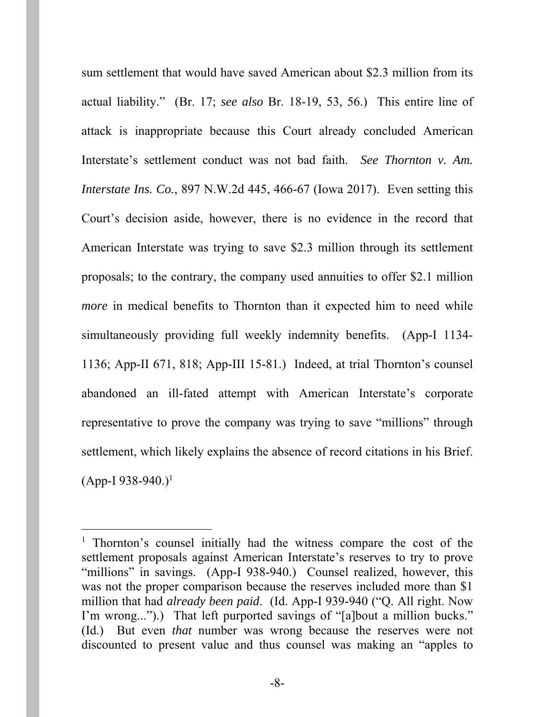sum settlement that would have saved American about \$2.3 million from its actual liability." (Br. 17; *see also* Br. 18-19, 53, 56.) This entire line of attack is inappropriate because this Court already concluded American Interstate's settlement conduct was not bad faith. *See Thornton v. Am. Interstate Ins. Co.*, 897 N.W.2d 445, 466-67 (Iowa 2017). Even setting this Court's decision aside, however, there is no evidence in the record that American Interstate was trying to save \$2.3 million through its settlement proposals; to the contrary, the company used annuities to offer \$2.1 million *more* in medical benefits to Thornton than it expected him to need while simultaneously providing full weekly indemnity benefits. (App-I 1134- 1136; App-II 671, 818; App-III 15-81.) Indeed, at trial Thornton's counsel abandoned an ill-fated attempt with American Interstate's corporate representative to prove the company was trying to save "millions" through settlement, which likely explains the absence of record citations in his Brief.  $(App-I 938-940.)$ <sup>1</sup>

 $\overline{a}$ 

<sup>&</sup>lt;sup>1</sup> Thornton's counsel initially had the witness compare the cost of the settlement proposals against American Interstate's reserves to try to prove "millions" in savings. (App-I 938-940.) Counsel realized, however, this was not the proper comparison because the reserves included more than \$1 million that had *already been paid*. (Id. App-I 939-940 ("Q. All right. Now I'm wrong...").) That left purported savings of "[a]bout a million bucks." (Id.) But even *that* number was wrong because the reserves were not discounted to present value and thus counsel was making an "apples to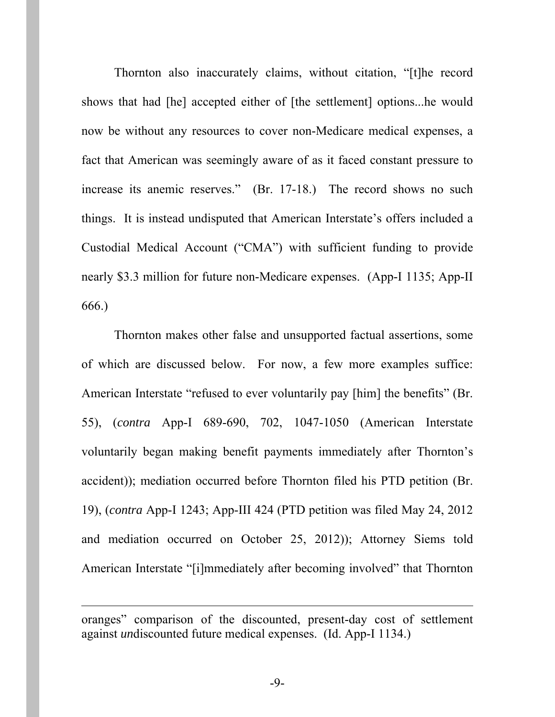Thornton also inaccurately claims, without citation, "[t]he record shows that had [he] accepted either of [the settlement] options...he would now be without any resources to cover non-Medicare medical expenses, a fact that American was seemingly aware of as it faced constant pressure to increase its anemic reserves." (Br. 17-18.) The record shows no such things. It is instead undisputed that American Interstate's offers included a Custodial Medical Account ("CMA") with sufficient funding to provide nearly \$3.3 million for future non-Medicare expenses. (App-I 1135; App-II 666.)

Thornton makes other false and unsupported factual assertions, some of which are discussed below. For now, a few more examples suffice: American Interstate "refused to ever voluntarily pay [him] the benefits" (Br. 55), (*contra* App-I 689-690, 702, 1047-1050 (American Interstate voluntarily began making benefit payments immediately after Thornton's accident)); mediation occurred before Thornton filed his PTD petition (Br. 19), (*contra* App-I 1243; App-III 424 (PTD petition was filed May 24, 2012 and mediation occurred on October 25, 2012)); Attorney Siems told American Interstate "[i]mmediately after becoming involved" that Thornton

-

oranges" comparison of the discounted, present-day cost of settlement against *un*discounted future medical expenses. (Id. App-I 1134.)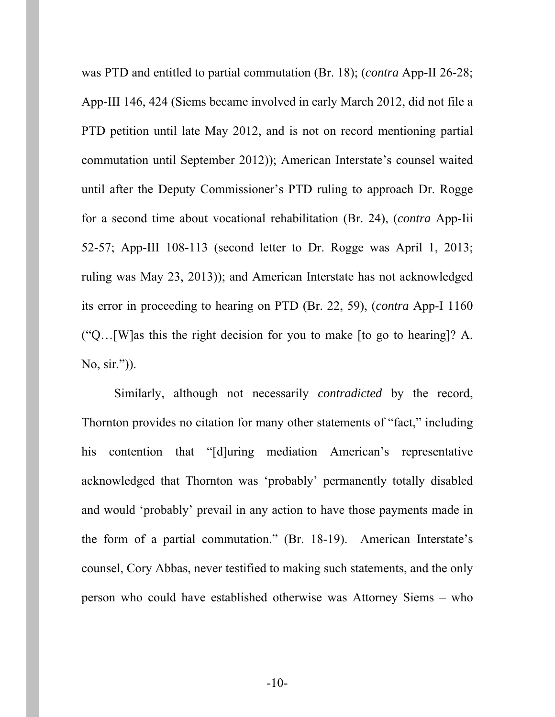was PTD and entitled to partial commutation (Br. 18); (*contra* App-II 26-28; App-III 146, 424 (Siems became involved in early March 2012, did not file a PTD petition until late May 2012, and is not on record mentioning partial commutation until September 2012)); American Interstate's counsel waited until after the Deputy Commissioner's PTD ruling to approach Dr. Rogge for a second time about vocational rehabilitation (Br. 24), (*contra* App-Iii 52-57; App-III 108-113 (second letter to Dr. Rogge was April 1, 2013; ruling was May 23, 2013)); and American Interstate has not acknowledged its error in proceeding to hearing on PTD (Br. 22, 59), (*contra* App-I 1160 ("Q…[W]as this the right decision for you to make [to go to hearing]? A. No, sir.")).

Similarly, although not necessarily *contradicted* by the record, Thornton provides no citation for many other statements of "fact," including his contention that "[d]uring mediation American's representative acknowledged that Thornton was 'probably' permanently totally disabled and would 'probably' prevail in any action to have those payments made in the form of a partial commutation." (Br. 18-19). American Interstate's counsel, Cory Abbas, never testified to making such statements, and the only person who could have established otherwise was Attorney Siems – who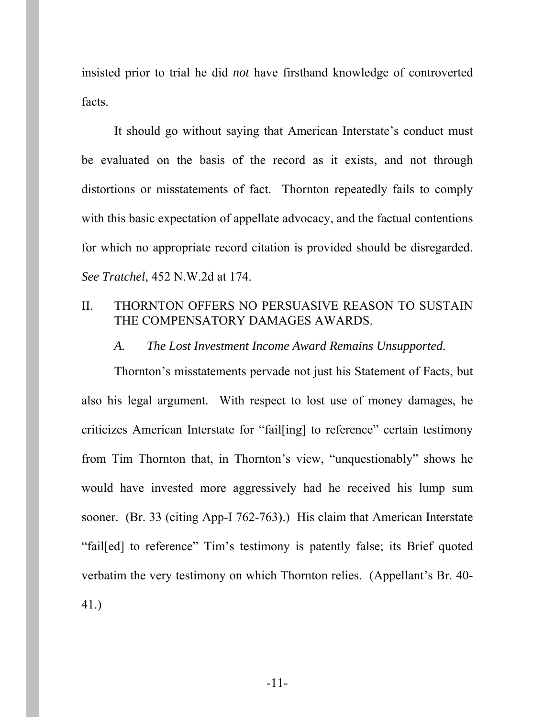insisted prior to trial he did *not* have firsthand knowledge of controverted facts.

It should go without saying that American Interstate's conduct must be evaluated on the basis of the record as it exists, and not through distortions or misstatements of fact. Thornton repeatedly fails to comply with this basic expectation of appellate advocacy, and the factual contentions for which no appropriate record citation is provided should be disregarded. *See Tratchel,* 452 N.W.2d at 174.

#### II. THORNTON OFFERS NO PERSUASIVE REASON TO SUSTAIN THE COMPENSATORY DAMAGES AWARDS.

#### *A. The Lost Investment Income Award Remains Unsupported.*

Thornton's misstatements pervade not just his Statement of Facts, but also his legal argument. With respect to lost use of money damages, he criticizes American Interstate for "fail[ing] to reference" certain testimony from Tim Thornton that, in Thornton's view, "unquestionably" shows he would have invested more aggressively had he received his lump sum sooner. (Br. 33 (citing App-I 762-763).) His claim that American Interstate "fail[ed] to reference" Tim's testimony is patently false; its Brief quoted verbatim the very testimony on which Thornton relies. (Appellant's Br. 40- 41.)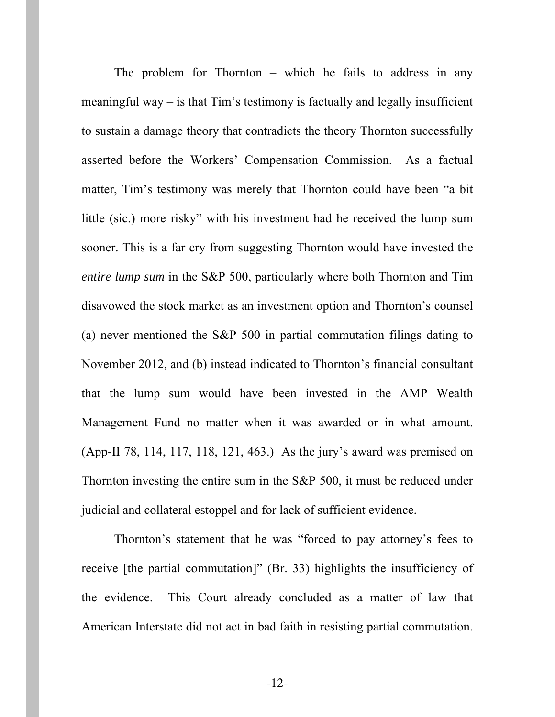The problem for Thornton – which he fails to address in any meaningful way – is that Tim's testimony is factually and legally insufficient to sustain a damage theory that contradicts the theory Thornton successfully asserted before the Workers' Compensation Commission. As a factual matter, Tim's testimony was merely that Thornton could have been "a bit little (sic.) more risky" with his investment had he received the lump sum sooner. This is a far cry from suggesting Thornton would have invested the *entire lump sum* in the S&P 500, particularly where both Thornton and Tim disavowed the stock market as an investment option and Thornton's counsel (a) never mentioned the S&P 500 in partial commutation filings dating to November 2012, and (b) instead indicated to Thornton's financial consultant that the lump sum would have been invested in the AMP Wealth Management Fund no matter when it was awarded or in what amount. (App-II 78, 114, 117, 118, 121, 463.) As the jury's award was premised on Thornton investing the entire sum in the S&P 500, it must be reduced under judicial and collateral estoppel and for lack of sufficient evidence.

Thornton's statement that he was "forced to pay attorney's fees to receive [the partial commutation]" (Br. 33) highlights the insufficiency of the evidence. This Court already concluded as a matter of law that American Interstate did not act in bad faith in resisting partial commutation.

-12-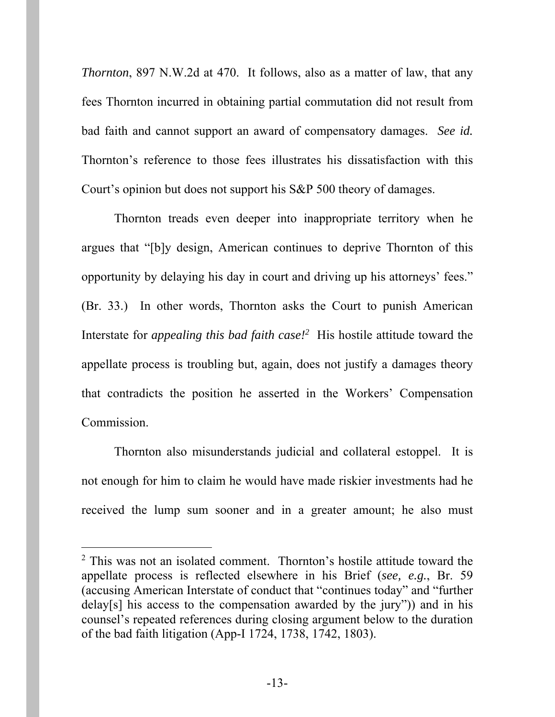*Thornton*, 897 N.W.2d at 470. It follows, also as a matter of law, that any fees Thornton incurred in obtaining partial commutation did not result from bad faith and cannot support an award of compensatory damages. *See id.* Thornton's reference to those fees illustrates his dissatisfaction with this Court's opinion but does not support his S&P 500 theory of damages.

Thornton treads even deeper into inappropriate territory when he argues that "[b]y design, American continues to deprive Thornton of this opportunity by delaying his day in court and driving up his attorneys' fees." (Br. 33.) In other words, Thornton asks the Court to punish American Interstate for *appealing this bad faith case!*<sup>2</sup> His hostile attitude toward the appellate process is troubling but, again, does not justify a damages theory that contradicts the position he asserted in the Workers' Compensation Commission.

Thornton also misunderstands judicial and collateral estoppel. It is not enough for him to claim he would have made riskier investments had he received the lump sum sooner and in a greater amount; he also must

 $\overline{a}$ 

<sup>&</sup>lt;sup>2</sup> This was not an isolated comment. Thornton's hostile attitude toward the appellate process is reflected elsewhere in his Brief (*see, e.g.*, Br. 59 (accusing American Interstate of conduct that "continues today" and "further delay[s] his access to the compensation awarded by the jury")) and in his counsel's repeated references during closing argument below to the duration of the bad faith litigation (App-I 1724, 1738, 1742, 1803).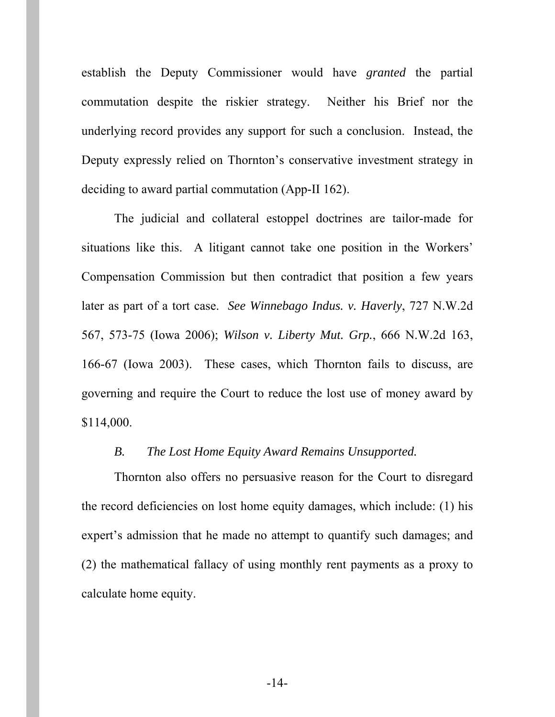establish the Deputy Commissioner would have *granted* the partial commutation despite the riskier strategy. Neither his Brief nor the underlying record provides any support for such a conclusion. Instead, the Deputy expressly relied on Thornton's conservative investment strategy in deciding to award partial commutation (App-II 162).

The judicial and collateral estoppel doctrines are tailor-made for situations like this. A litigant cannot take one position in the Workers' Compensation Commission but then contradict that position a few years later as part of a tort case. *See Winnebago Indus. v. Haverly*, 727 N.W.2d 567, 573-75 (Iowa 2006); *Wilson v. Liberty Mut. Grp.*, 666 N.W.2d 163, 166-67 (Iowa 2003). These cases, which Thornton fails to discuss, are governing and require the Court to reduce the lost use of money award by \$114,000.

#### *B. The Lost Home Equity Award Remains Unsupported.*

Thornton also offers no persuasive reason for the Court to disregard the record deficiencies on lost home equity damages, which include: (1) his expert's admission that he made no attempt to quantify such damages; and (2) the mathematical fallacy of using monthly rent payments as a proxy to calculate home equity.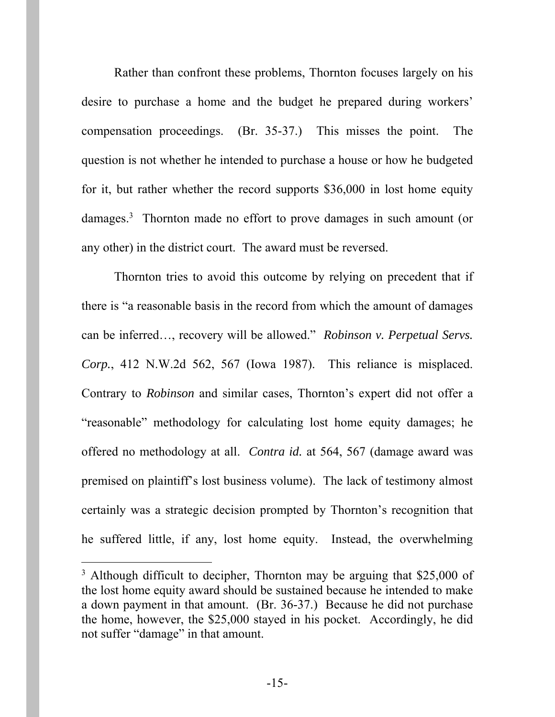Rather than confront these problems, Thornton focuses largely on his desire to purchase a home and the budget he prepared during workers' compensation proceedings. (Br. 35-37.) This misses the point. The question is not whether he intended to purchase a house or how he budgeted for it, but rather whether the record supports \$36,000 in lost home equity damages.<sup>3</sup> Thornton made no effort to prove damages in such amount (or any other) in the district court. The award must be reversed.

Thornton tries to avoid this outcome by relying on precedent that if there is "a reasonable basis in the record from which the amount of damages can be inferred…, recovery will be allowed." *Robinson v. Perpetual Servs. Corp.*, 412 N.W.2d 562, 567 (Iowa 1987). This reliance is misplaced. Contrary to *Robinson* and similar cases, Thornton's expert did not offer a "reasonable" methodology for calculating lost home equity damages; he offered no methodology at all. *Contra id.* at 564, 567 (damage award was premised on plaintiff's lost business volume). The lack of testimony almost certainly was a strategic decision prompted by Thornton's recognition that he suffered little, if any, lost home equity. Instead, the overwhelming

l

<sup>&</sup>lt;sup>3</sup> Although difficult to decipher, Thornton may be arguing that \$25,000 of the lost home equity award should be sustained because he intended to make a down payment in that amount. (Br. 36-37.) Because he did not purchase the home, however, the \$25,000 stayed in his pocket. Accordingly, he did not suffer "damage" in that amount.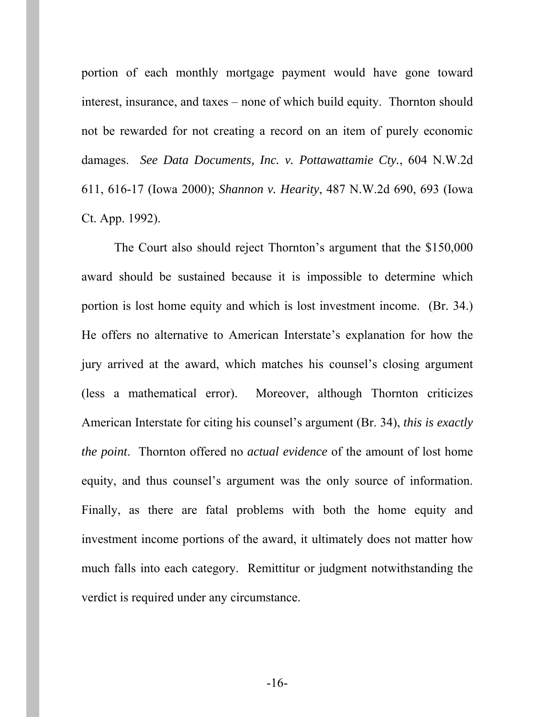portion of each monthly mortgage payment would have gone toward interest, insurance, and taxes – none of which build equity. Thornton should not be rewarded for not creating a record on an item of purely economic damages. *See Data Documents, Inc. v. Pottawattamie Cty.*, 604 N.W.2d 611, 616-17 (Iowa 2000); *Shannon v. Hearity*, 487 N.W.2d 690, 693 (Iowa Ct. App. 1992).

The Court also should reject Thornton's argument that the \$150,000 award should be sustained because it is impossible to determine which portion is lost home equity and which is lost investment income. (Br. 34.) He offers no alternative to American Interstate's explanation for how the jury arrived at the award, which matches his counsel's closing argument (less a mathematical error). Moreover, although Thornton criticizes American Interstate for citing his counsel's argument (Br. 34), *this is exactly the point*. Thornton offered no *actual evidence* of the amount of lost home equity, and thus counsel's argument was the only source of information. Finally, as there are fatal problems with both the home equity and investment income portions of the award, it ultimately does not matter how much falls into each category. Remittitur or judgment notwithstanding the verdict is required under any circumstance.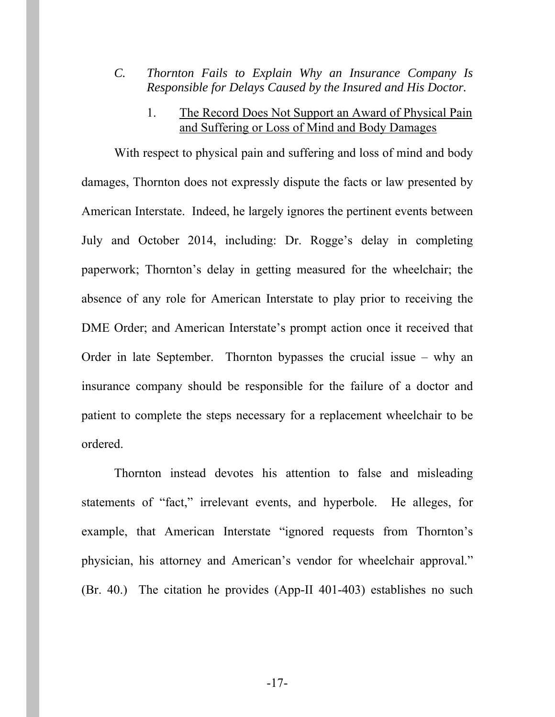- *C. Thornton Fails to Explain Why an Insurance Company Is Responsible for Delays Caused by the Insured and His Doctor.* 
	- 1. The Record Does Not Support an Award of Physical Pain and Suffering or Loss of Mind and Body Damages

With respect to physical pain and suffering and loss of mind and body damages, Thornton does not expressly dispute the facts or law presented by American Interstate. Indeed, he largely ignores the pertinent events between July and October 2014, including: Dr. Rogge's delay in completing paperwork; Thornton's delay in getting measured for the wheelchair; the absence of any role for American Interstate to play prior to receiving the DME Order; and American Interstate's prompt action once it received that Order in late September. Thornton bypasses the crucial issue – why an insurance company should be responsible for the failure of a doctor and patient to complete the steps necessary for a replacement wheelchair to be ordered.

Thornton instead devotes his attention to false and misleading statements of "fact," irrelevant events, and hyperbole. He alleges, for example, that American Interstate "ignored requests from Thornton's physician, his attorney and American's vendor for wheelchair approval." (Br. 40.) The citation he provides (App-II 401-403) establishes no such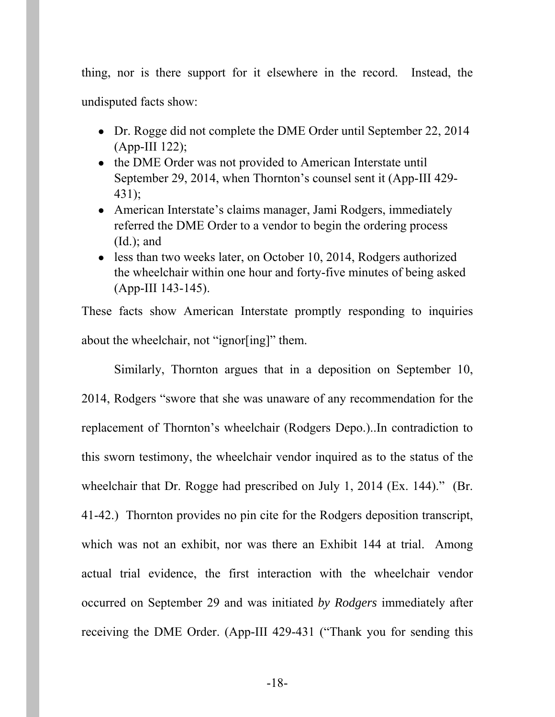thing, nor is there support for it elsewhere in the record. Instead, the undisputed facts show:

- Dr. Rogge did not complete the DME Order until September 22, 2014  $(App-III 122)$ ;
- the DME Order was not provided to American Interstate until September 29, 2014, when Thornton's counsel sent it (App-III 429- 431);
- American Interstate's claims manager, Jami Rodgers, immediately referred the DME Order to a vendor to begin the ordering process  $(Id.)$ ; and
- less than two weeks later, on October 10, 2014, Rodgers authorized the wheelchair within one hour and forty-five minutes of being asked (App-III 143-145).

These facts show American Interstate promptly responding to inquiries about the wheelchair, not "ignor[ing]" them.

 Similarly, Thornton argues that in a deposition on September 10, 2014, Rodgers "swore that she was unaware of any recommendation for the replacement of Thornton's wheelchair (Rodgers Depo.)..In contradiction to this sworn testimony, the wheelchair vendor inquired as to the status of the wheelchair that Dr. Rogge had prescribed on July 1, 2014 (Ex. 144)." (Br. 41-42.) Thornton provides no pin cite for the Rodgers deposition transcript, which was not an exhibit, nor was there an Exhibit 144 at trial. Among actual trial evidence, the first interaction with the wheelchair vendor occurred on September 29 and was initiated *by Rodgers* immediately after receiving the DME Order. (App-III 429-431 ("Thank you for sending this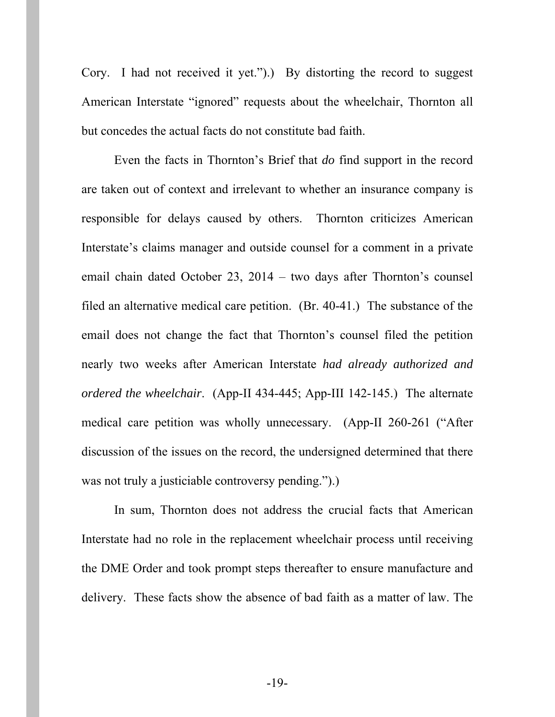Cory. I had not received it yet.").) By distorting the record to suggest American Interstate "ignored" requests about the wheelchair, Thornton all but concedes the actual facts do not constitute bad faith.

 Even the facts in Thornton's Brief that *do* find support in the record are taken out of context and irrelevant to whether an insurance company is responsible for delays caused by others. Thornton criticizes American Interstate's claims manager and outside counsel for a comment in a private email chain dated October 23, 2014 – two days after Thornton's counsel filed an alternative medical care petition. (Br. 40-41.) The substance of the email does not change the fact that Thornton's counsel filed the petition nearly two weeks after American Interstate *had already authorized and ordered the wheelchair*. (App-II 434-445; App-III 142-145.) The alternate medical care petition was wholly unnecessary. (App-II 260-261 ("After discussion of the issues on the record, the undersigned determined that there was not truly a justiciable controversy pending.").)

 In sum, Thornton does not address the crucial facts that American Interstate had no role in the replacement wheelchair process until receiving the DME Order and took prompt steps thereafter to ensure manufacture and delivery. These facts show the absence of bad faith as a matter of law. The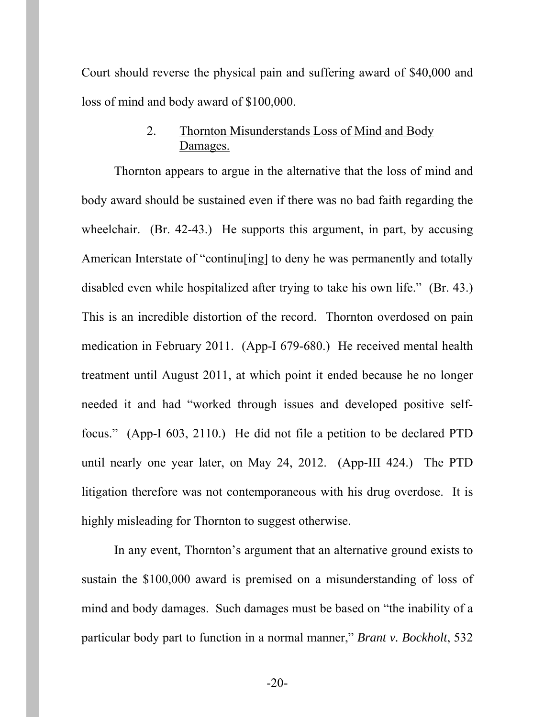Court should reverse the physical pain and suffering award of \$40,000 and loss of mind and body award of \$100,000.

## 2. Thornton Misunderstands Loss of Mind and Body Damages.

Thornton appears to argue in the alternative that the loss of mind and body award should be sustained even if there was no bad faith regarding the wheelchair. (Br. 42-43.) He supports this argument, in part, by accusing American Interstate of "continu[ing] to deny he was permanently and totally disabled even while hospitalized after trying to take his own life." (Br. 43.) This is an incredible distortion of the record. Thornton overdosed on pain medication in February 2011. (App-I 679-680.) He received mental health treatment until August 2011, at which point it ended because he no longer needed it and had "worked through issues and developed positive selffocus." (App-I 603, 2110.) He did not file a petition to be declared PTD until nearly one year later, on May 24, 2012. (App-III 424.) The PTD litigation therefore was not contemporaneous with his drug overdose. It is highly misleading for Thornton to suggest otherwise.

In any event, Thornton's argument that an alternative ground exists to sustain the \$100,000 award is premised on a misunderstanding of loss of mind and body damages. Such damages must be based on "the inability of a particular body part to function in a normal manner," *Brant v. Bockholt*, 532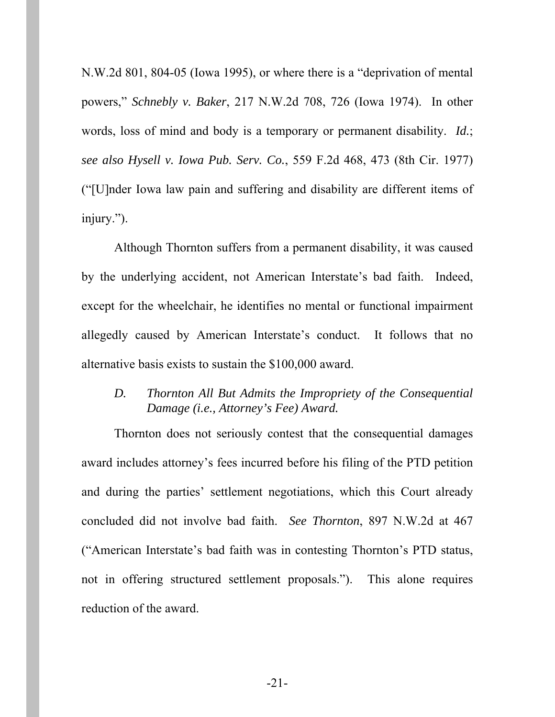N.W.2d 801, 804-05 (Iowa 1995), or where there is a "deprivation of mental powers," *Schnebly v. Baker*, 217 N.W.2d 708, 726 (Iowa 1974). In other words, loss of mind and body is a temporary or permanent disability. *Id.*; *see also Hysell v. Iowa Pub. Serv. Co.*, 559 F.2d 468, 473 (8th Cir. 1977) ("[U]nder Iowa law pain and suffering and disability are different items of injury.").

Although Thornton suffers from a permanent disability, it was caused by the underlying accident, not American Interstate's bad faith. Indeed, except for the wheelchair, he identifies no mental or functional impairment allegedly caused by American Interstate's conduct. It follows that no alternative basis exists to sustain the \$100,000 award.

### *D. Thornton All But Admits the Impropriety of the Consequential Damage (i.e., Attorney's Fee) Award.*

Thornton does not seriously contest that the consequential damages award includes attorney's fees incurred before his filing of the PTD petition and during the parties' settlement negotiations, which this Court already concluded did not involve bad faith. *See Thornton*, 897 N.W.2d at 467 ("American Interstate's bad faith was in contesting Thornton's PTD status, not in offering structured settlement proposals."). This alone requires reduction of the award.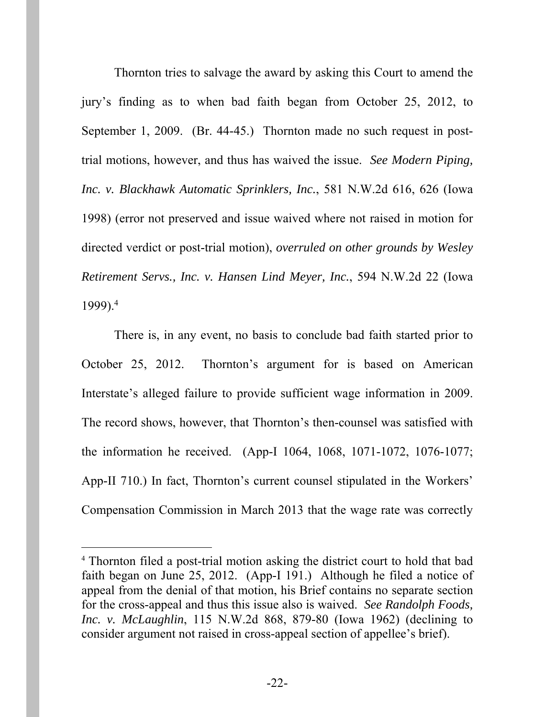Thornton tries to salvage the award by asking this Court to amend the jury's finding as to when bad faith began from October 25, 2012, to September 1, 2009. (Br. 44-45.) Thornton made no such request in posttrial motions, however, and thus has waived the issue. *See Modern Piping, Inc. v. Blackhawk Automatic Sprinklers, Inc.*, 581 N.W.2d 616, 626 (Iowa 1998) (error not preserved and issue waived where not raised in motion for directed verdict or post-trial motion), *overruled on other grounds by Wesley Retirement Servs., Inc. v. Hansen Lind Meyer, Inc.*, 594 N.W.2d 22 (Iowa 1999).4

There is, in any event, no basis to conclude bad faith started prior to October 25, 2012. Thornton's argument for is based on American Interstate's alleged failure to provide sufficient wage information in 2009. The record shows, however, that Thornton's then-counsel was satisfied with the information he received. (App-I 1064, 1068, 1071-1072, 1076-1077; App-II 710.) In fact, Thornton's current counsel stipulated in the Workers' Compensation Commission in March 2013 that the wage rate was correctly

 $\overline{a}$ 

<sup>4</sup> Thornton filed a post-trial motion asking the district court to hold that bad faith began on June 25, 2012. (App-I 191.) Although he filed a notice of appeal from the denial of that motion, his Brief contains no separate section for the cross-appeal and thus this issue also is waived. *See Randolph Foods, Inc. v. McLaughlin*, 115 N.W.2d 868, 879-80 (Iowa 1962) (declining to consider argument not raised in cross-appeal section of appellee's brief).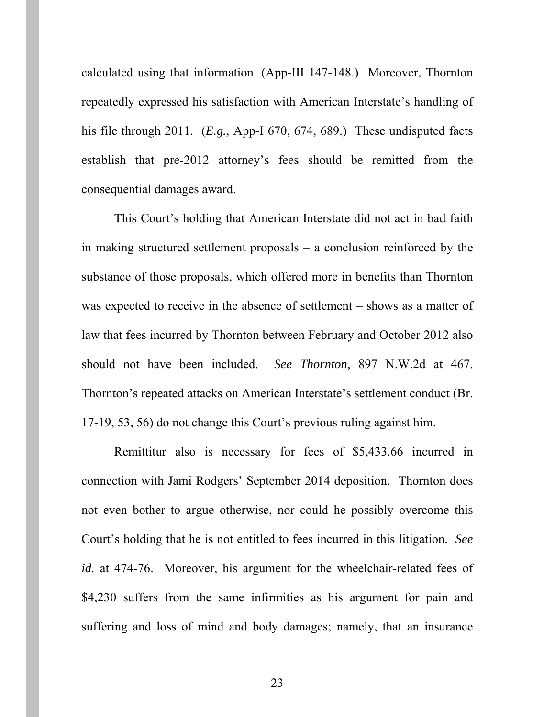calculated using that information. (App-III 147-148.) Moreover, Thornton repeatedly expressed his satisfaction with American Interstate's handling of his file through 2011. (*E.g.,* App-I 670, 674, 689.) These undisputed facts establish that pre-2012 attorney's fees should be remitted from the consequential damages award.

This Court's holding that American Interstate did not act in bad faith in making structured settlement proposals – a conclusion reinforced by the substance of those proposals, which offered more in benefits than Thornton was expected to receive in the absence of settlement – shows as a matter of law that fees incurred by Thornton between February and October 2012 also should not have been included. *See Thornton*, 897 N.W.2d at 467. Thornton's repeated attacks on American Interstate's settlement conduct (Br. 17-19, 53, 56) do not change this Court's previous ruling against him.

Remittitur also is necessary for fees of \$5,433.66 incurred in connection with Jami Rodgers' September 2014 deposition. Thornton does not even bother to argue otherwise, nor could he possibly overcome this Court's holding that he is not entitled to fees incurred in this litigation. *See id.* at 474-76. Moreover, his argument for the wheelchair-related fees of \$4,230 suffers from the same infirmities as his argument for pain and suffering and loss of mind and body damages; namely, that an insurance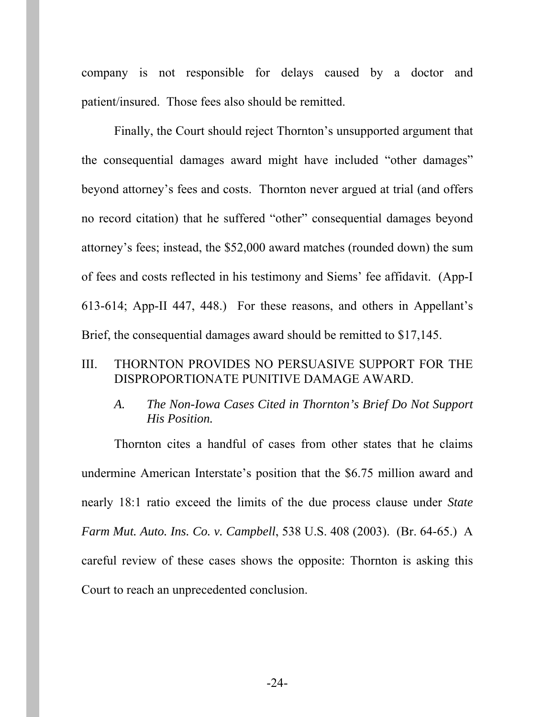company is not responsible for delays caused by a doctor and patient/insured. Those fees also should be remitted.

Finally, the Court should reject Thornton's unsupported argument that the consequential damages award might have included "other damages" beyond attorney's fees and costs. Thornton never argued at trial (and offers no record citation) that he suffered "other" consequential damages beyond attorney's fees; instead, the \$52,000 award matches (rounded down) the sum of fees and costs reflected in his testimony and Siems' fee affidavit. (App-I 613-614; App-II 447, 448.) For these reasons, and others in Appellant's Brief, the consequential damages award should be remitted to \$17,145.

### III. THORNTON PROVIDES NO PERSUASIVE SUPPORT FOR THE DISPROPORTIONATE PUNITIVE DAMAGE AWARD.

*A. The Non-Iowa Cases Cited in Thornton's Brief Do Not Support His Position.* 

Thornton cites a handful of cases from other states that he claims undermine American Interstate's position that the \$6.75 million award and nearly 18:1 ratio exceed the limits of the due process clause under *State Farm Mut. Auto. Ins. Co. v. Campbell*, 538 U.S. 408 (2003). (Br. 64-65.) A careful review of these cases shows the opposite: Thornton is asking this Court to reach an unprecedented conclusion.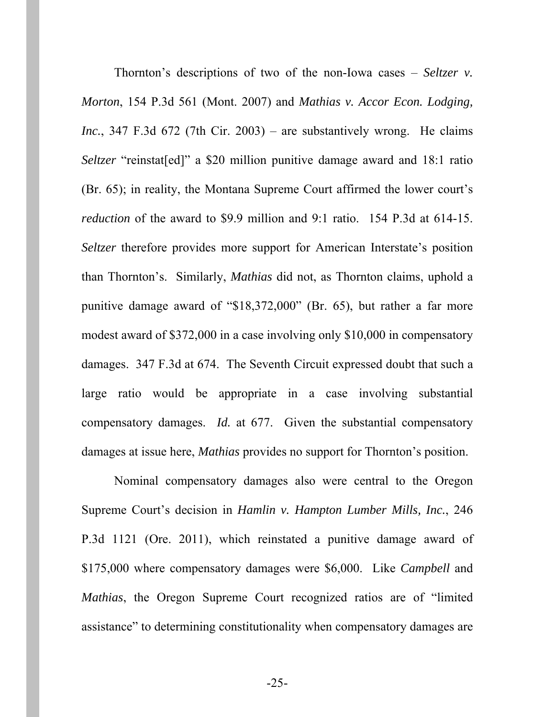Thornton's descriptions of two of the non-Iowa cases – *Seltzer v. Morton*, 154 P.3d 561 (Mont. 2007) and *Mathias v. Accor Econ. Lodging, Inc.*, 347 F.3d 672 (7th Cir. 2003) – are substantively wrong. He claims *Seltzer* "reinstat[ed]" a \$20 million punitive damage award and 18:1 ratio (Br. 65); in reality, the Montana Supreme Court affirmed the lower court's *reduction* of the award to \$9.9 million and 9:1 ratio. 154 P.3d at 614-15. *Seltzer* therefore provides more support for American Interstate's position than Thornton's. Similarly, *Mathias* did not, as Thornton claims, uphold a punitive damage award of "\$18,372,000" (Br. 65), but rather a far more modest award of \$372,000 in a case involving only \$10,000 in compensatory damages. 347 F.3d at 674. The Seventh Circuit expressed doubt that such a large ratio would be appropriate in a case involving substantial compensatory damages. *Id.* at 677. Given the substantial compensatory damages at issue here, *Mathias* provides no support for Thornton's position.

Nominal compensatory damages also were central to the Oregon Supreme Court's decision in *Hamlin v. Hampton Lumber Mills, Inc.*, 246 P.3d 1121 (Ore. 2011), which reinstated a punitive damage award of \$175,000 where compensatory damages were \$6,000. Like *Campbell* and *Mathias*, the Oregon Supreme Court recognized ratios are of "limited assistance" to determining constitutionality when compensatory damages are

-25-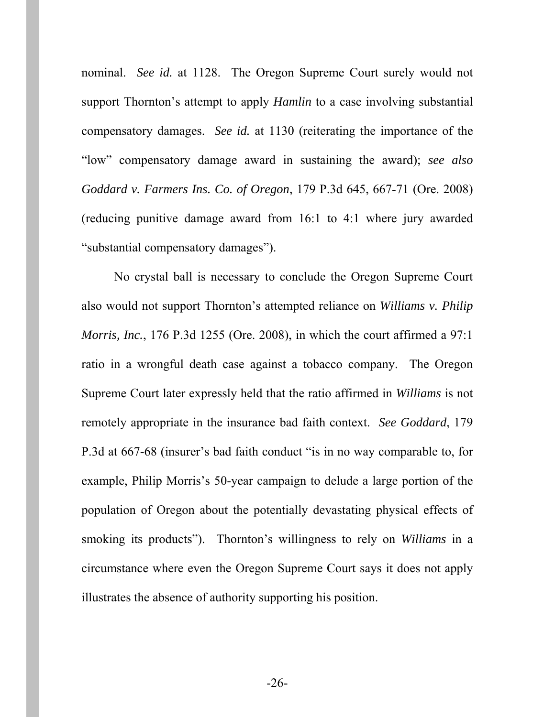nominal. *See id.* at 1128. The Oregon Supreme Court surely would not support Thornton's attempt to apply *Hamlin* to a case involving substantial compensatory damages. *See id.* at 1130 (reiterating the importance of the "low" compensatory damage award in sustaining the award); *see also Goddard v. Farmers Ins. Co. of Oregon*, 179 P.3d 645, 667-71 (Ore. 2008) (reducing punitive damage award from 16:1 to 4:1 where jury awarded "substantial compensatory damages").

No crystal ball is necessary to conclude the Oregon Supreme Court also would not support Thornton's attempted reliance on *Williams v. Philip Morris, Inc.*, 176 P.3d 1255 (Ore. 2008), in which the court affirmed a 97:1 ratio in a wrongful death case against a tobacco company. The Oregon Supreme Court later expressly held that the ratio affirmed in *Williams* is not remotely appropriate in the insurance bad faith context. *See Goddard*, 179 P.3d at 667-68 (insurer's bad faith conduct "is in no way comparable to, for example, Philip Morris's 50-year campaign to delude a large portion of the population of Oregon about the potentially devastating physical effects of smoking its products"). Thornton's willingness to rely on *Williams* in a circumstance where even the Oregon Supreme Court says it does not apply illustrates the absence of authority supporting his position.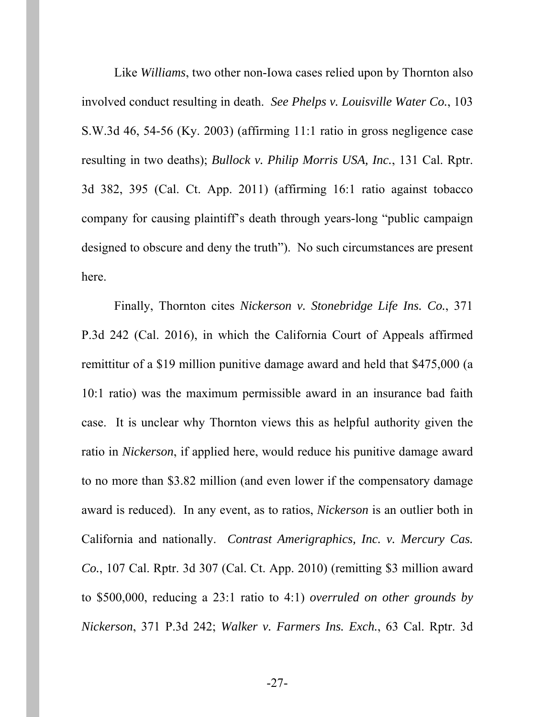Like *Williams*, two other non-Iowa cases relied upon by Thornton also involved conduct resulting in death. *See Phelps v. Louisville Water Co.*, 103 S.W.3d 46, 54-56 (Ky. 2003) (affirming 11:1 ratio in gross negligence case resulting in two deaths); *Bullock v. Philip Morris USA, Inc.*, 131 Cal. Rptr. 3d 382, 395 (Cal. Ct. App. 2011) (affirming 16:1 ratio against tobacco company for causing plaintiff's death through years-long "public campaign designed to obscure and deny the truth"). No such circumstances are present here.

Finally, Thornton cites *Nickerson v. Stonebridge Life Ins. Co.*, 371 P.3d 242 (Cal. 2016), in which the California Court of Appeals affirmed remittitur of a \$19 million punitive damage award and held that \$475,000 (a 10:1 ratio) was the maximum permissible award in an insurance bad faith case. It is unclear why Thornton views this as helpful authority given the ratio in *Nickerson*, if applied here, would reduce his punitive damage award to no more than \$3.82 million (and even lower if the compensatory damage award is reduced). In any event, as to ratios, *Nickerson* is an outlier both in California and nationally. *Contrast Amerigraphics, Inc. v. Mercury Cas. Co.*, 107 Cal. Rptr. 3d 307 (Cal. Ct. App. 2010) (remitting \$3 million award to \$500,000, reducing a 23:1 ratio to 4:1) *overruled on other grounds by Nickerson*, 371 P.3d 242; *Walker v. Farmers Ins. Exch.*, 63 Cal. Rptr. 3d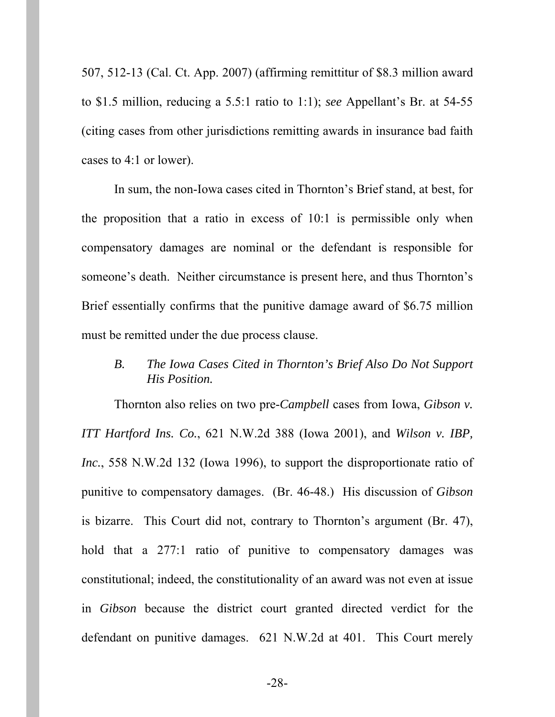507, 512-13 (Cal. Ct. App. 2007) (affirming remittitur of \$8.3 million award to \$1.5 million, reducing a 5.5:1 ratio to 1:1); *see* Appellant's Br. at 54-55 (citing cases from other jurisdictions remitting awards in insurance bad faith cases to 4:1 or lower).

In sum, the non-Iowa cases cited in Thornton's Brief stand, at best, for the proposition that a ratio in excess of 10:1 is permissible only when compensatory damages are nominal or the defendant is responsible for someone's death. Neither circumstance is present here, and thus Thornton's Brief essentially confirms that the punitive damage award of \$6.75 million must be remitted under the due process clause.

### *B. The Iowa Cases Cited in Thornton's Brief Also Do Not Support His Position.*

Thornton also relies on two pre-*Campbell* cases from Iowa, *Gibson v. ITT Hartford Ins. Co.*, 621 N.W.2d 388 (Iowa 2001), and *Wilson v. IBP, Inc.*, 558 N.W.2d 132 (Iowa 1996), to support the disproportionate ratio of punitive to compensatory damages. (Br. 46-48.) His discussion of *Gibson*  is bizarre. This Court did not, contrary to Thornton's argument (Br. 47), hold that a 277:1 ratio of punitive to compensatory damages was constitutional; indeed, the constitutionality of an award was not even at issue in *Gibson* because the district court granted directed verdict for the defendant on punitive damages. 621 N.W.2d at 401. This Court merely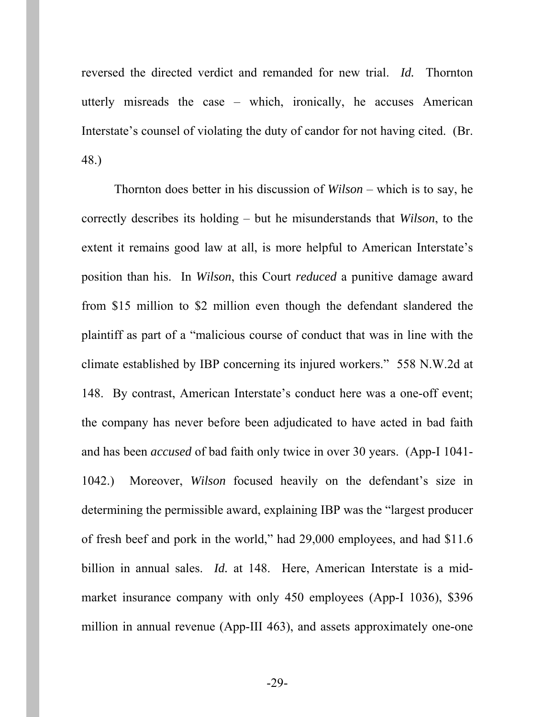reversed the directed verdict and remanded for new trial. *Id.* Thornton utterly misreads the case – which, ironically, he accuses American Interstate's counsel of violating the duty of candor for not having cited. (Br. 48.)

Thornton does better in his discussion of *Wilson* – which is to say, he correctly describes its holding – but he misunderstands that *Wilson*, to the extent it remains good law at all, is more helpful to American Interstate's position than his. In *Wilson*, this Court *reduced* a punitive damage award from \$15 million to \$2 million even though the defendant slandered the plaintiff as part of a "malicious course of conduct that was in line with the climate established by IBP concerning its injured workers." 558 N.W.2d at 148. By contrast, American Interstate's conduct here was a one-off event; the company has never before been adjudicated to have acted in bad faith and has been *accused* of bad faith only twice in over 30 years. (App-I 1041- 1042.) Moreover, *Wilson* focused heavily on the defendant's size in determining the permissible award, explaining IBP was the "largest producer of fresh beef and pork in the world," had 29,000 employees, and had \$11.6 billion in annual sales. *Id.* at 148. Here, American Interstate is a midmarket insurance company with only 450 employees (App-I 1036), \$396 million in annual revenue (App-III 463), and assets approximately one-one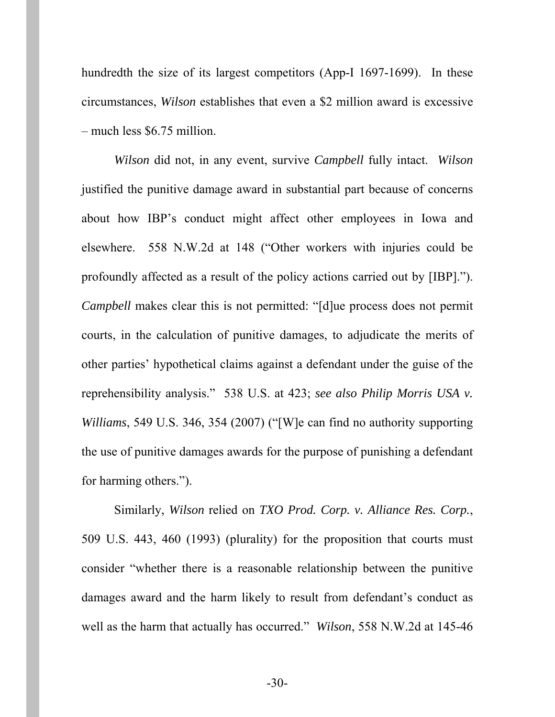hundredth the size of its largest competitors (App-I 1697-1699). In these circumstances, *Wilson* establishes that even a \$2 million award is excessive – much less \$6.75 million.

*Wilson* did not, in any event, survive *Campbell* fully intact. *Wilson*  justified the punitive damage award in substantial part because of concerns about how IBP's conduct might affect other employees in Iowa and elsewhere. 558 N.W.2d at 148 ("Other workers with injuries could be profoundly affected as a result of the policy actions carried out by [IBP]."). *Campbell* makes clear this is not permitted: "[d]ue process does not permit courts, in the calculation of punitive damages, to adjudicate the merits of other parties' hypothetical claims against a defendant under the guise of the reprehensibility analysis." 538 U.S. at 423; *see also Philip Morris USA v. Williams*, 549 U.S. 346, 354 (2007) ("[W]e can find no authority supporting the use of punitive damages awards for the purpose of punishing a defendant for harming others.").

Similarly, *Wilson* relied on *TXO Prod. Corp. v. Alliance Res. Corp.*, 509 U.S. 443, 460 (1993) (plurality) for the proposition that courts must consider "whether there is a reasonable relationship between the punitive damages award and the harm likely to result from defendant's conduct as well as the harm that actually has occurred." *Wilson*, 558 N.W.2d at 145-46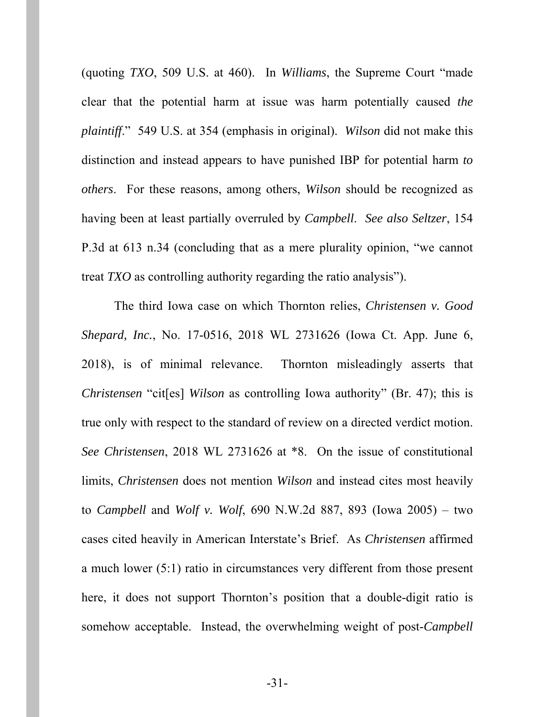(quoting *TXO*, 509 U.S. at 460). In *Williams*, the Supreme Court "made clear that the potential harm at issue was harm potentially caused *the plaintiff*." 549 U.S. at 354 (emphasis in original). *Wilson* did not make this distinction and instead appears to have punished IBP for potential harm *to others*. For these reasons, among others, *Wilson* should be recognized as having been at least partially overruled by *Campbell*. *See also Seltzer*, 154 P.3d at 613 n.34 (concluding that as a mere plurality opinion, "we cannot treat *TXO* as controlling authority regarding the ratio analysis").

The third Iowa case on which Thornton relies, *Christensen v. Good Shepard, Inc.*, No. 17-0516, 2018 WL 2731626 (Iowa Ct. App. June 6, 2018), is of minimal relevance. Thornton misleadingly asserts that *Christensen* "cites] *Wilson* as controlling Iowa authority" (Br. 47); this is true only with respect to the standard of review on a directed verdict motion. *See Christensen*, 2018 WL 2731626 at \*8. On the issue of constitutional limits, *Christensen* does not mention *Wilson* and instead cites most heavily to *Campbell* and *Wolf v. Wolf*, 690 N.W.2d 887, 893 (Iowa 2005) – two cases cited heavily in American Interstate's Brief. As *Christensen* affirmed a much lower (5:1) ratio in circumstances very different from those present here, it does not support Thornton's position that a double-digit ratio is somehow acceptable. Instead, the overwhelming weight of post-*Campbell*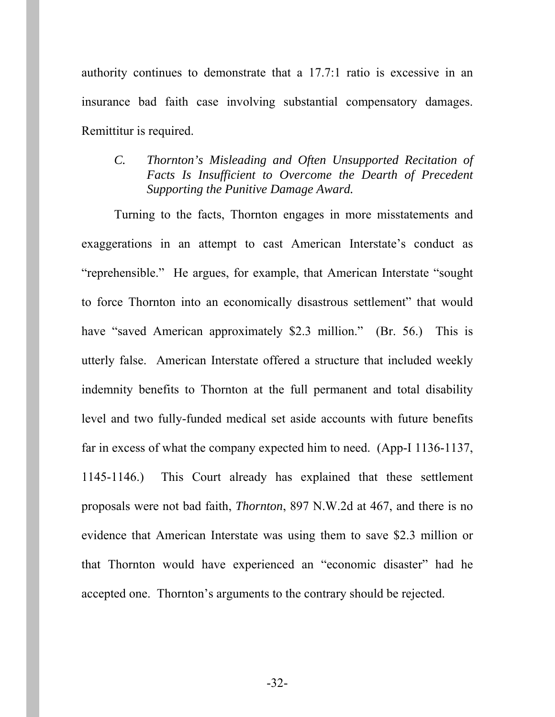authority continues to demonstrate that a 17.7:1 ratio is excessive in an insurance bad faith case involving substantial compensatory damages. Remittitur is required.

## *C. Thornton's Misleading and Often Unsupported Recitation of Facts Is Insufficient to Overcome the Dearth of Precedent Supporting the Punitive Damage Award.*

Turning to the facts, Thornton engages in more misstatements and exaggerations in an attempt to cast American Interstate's conduct as "reprehensible." He argues, for example, that American Interstate "sought to force Thornton into an economically disastrous settlement" that would have "saved American approximately \$2.3 million." (Br. 56.) This is utterly false. American Interstate offered a structure that included weekly indemnity benefits to Thornton at the full permanent and total disability level and two fully-funded medical set aside accounts with future benefits far in excess of what the company expected him to need. (App-I 1136-1137, 1145-1146.) This Court already has explained that these settlement proposals were not bad faith, *Thornton*, 897 N.W.2d at 467, and there is no evidence that American Interstate was using them to save \$2.3 million or that Thornton would have experienced an "economic disaster" had he accepted one. Thornton's arguments to the contrary should be rejected.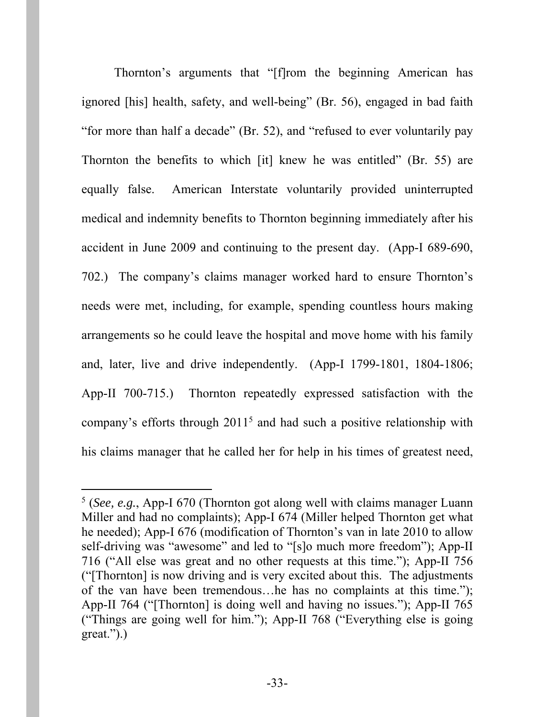Thornton's arguments that "[f]rom the beginning American has ignored [his] health, safety, and well-being" (Br. 56), engaged in bad faith "for more than half a decade" (Br. 52), and "refused to ever voluntarily pay Thornton the benefits to which [it] knew he was entitled" (Br. 55) are equally false. American Interstate voluntarily provided uninterrupted medical and indemnity benefits to Thornton beginning immediately after his accident in June 2009 and continuing to the present day. (App-I 689-690, 702.) The company's claims manager worked hard to ensure Thornton's needs were met, including, for example, spending countless hours making arrangements so he could leave the hospital and move home with his family and, later, live and drive independently. (App-I 1799-1801, 1804-1806; App-II 700-715.) Thornton repeatedly expressed satisfaction with the company's efforts through  $2011<sup>5</sup>$  and had such a positive relationship with his claims manager that he called her for help in his times of greatest need,

 $\overline{a}$ 

<sup>5</sup> (*See, e.g.*, App-I 670 (Thornton got along well with claims manager Luann Miller and had no complaints); App-I 674 (Miller helped Thornton get what he needed); App-I 676 (modification of Thornton's van in late 2010 to allow self-driving was "awesome" and led to "[s]o much more freedom"); App-II 716 ("All else was great and no other requests at this time."); App-II 756 ("[Thornton] is now driving and is very excited about this. The adjustments of the van have been tremendous…he has no complaints at this time."); App-II 764 ("[Thornton] is doing well and having no issues."); App-II 765 ("Things are going well for him."); App-II 768 ("Everything else is going great.").)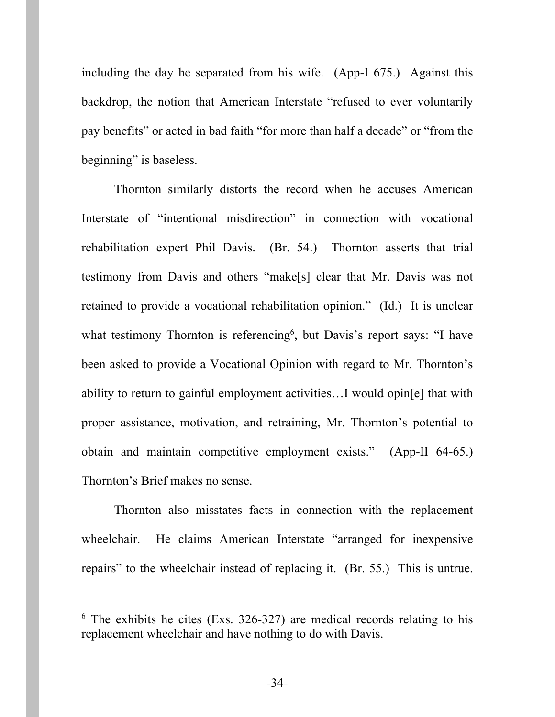including the day he separated from his wife. (App-I 675.) Against this backdrop, the notion that American Interstate "refused to ever voluntarily pay benefits" or acted in bad faith "for more than half a decade" or "from the beginning" is baseless.

Thornton similarly distorts the record when he accuses American Interstate of "intentional misdirection" in connection with vocational rehabilitation expert Phil Davis. (Br. 54.) Thornton asserts that trial testimony from Davis and others "make[s] clear that Mr. Davis was not retained to provide a vocational rehabilitation opinion." (Id.) It is unclear what testimony Thornton is referencing<sup>6</sup>, but Davis's report says: "I have been asked to provide a Vocational Opinion with regard to Mr. Thornton's ability to return to gainful employment activities…I would opin[e] that with proper assistance, motivation, and retraining, Mr. Thornton's potential to obtain and maintain competitive employment exists." (App-II 64-65.) Thornton's Brief makes no sense.

Thornton also misstates facts in connection with the replacement wheelchair. He claims American Interstate "arranged for inexpensive repairs" to the wheelchair instead of replacing it. (Br. 55.) This is untrue.

-

<sup>6</sup> The exhibits he cites (Exs. 326-327) are medical records relating to his replacement wheelchair and have nothing to do with Davis.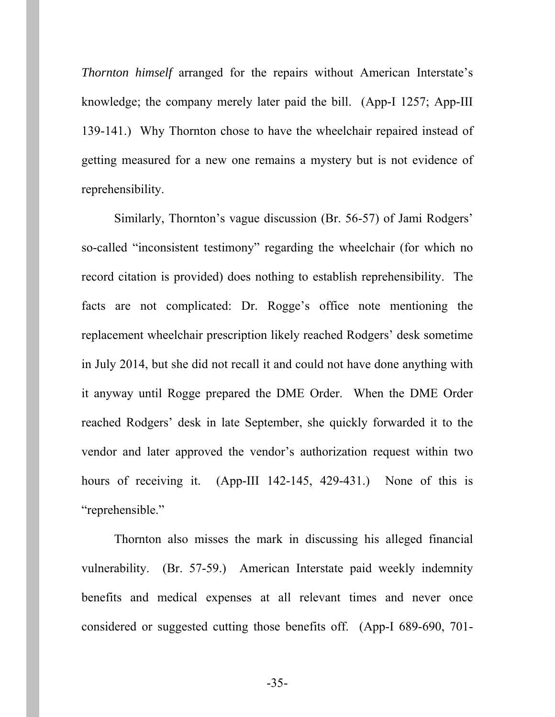*Thornton himself* arranged for the repairs without American Interstate's knowledge; the company merely later paid the bill. (App-I 1257; App-III 139-141.) Why Thornton chose to have the wheelchair repaired instead of getting measured for a new one remains a mystery but is not evidence of reprehensibility.

Similarly, Thornton's vague discussion (Br. 56-57) of Jami Rodgers' so-called "inconsistent testimony" regarding the wheelchair (for which no record citation is provided) does nothing to establish reprehensibility. The facts are not complicated: Dr. Rogge's office note mentioning the replacement wheelchair prescription likely reached Rodgers' desk sometime in July 2014, but she did not recall it and could not have done anything with it anyway until Rogge prepared the DME Order. When the DME Order reached Rodgers' desk in late September, she quickly forwarded it to the vendor and later approved the vendor's authorization request within two hours of receiving it. (App-III 142-145, 429-431.) None of this is "reprehensible."

Thornton also misses the mark in discussing his alleged financial vulnerability. (Br. 57-59.) American Interstate paid weekly indemnity benefits and medical expenses at all relevant times and never once considered or suggested cutting those benefits off. (App-I 689-690, 701-

-35-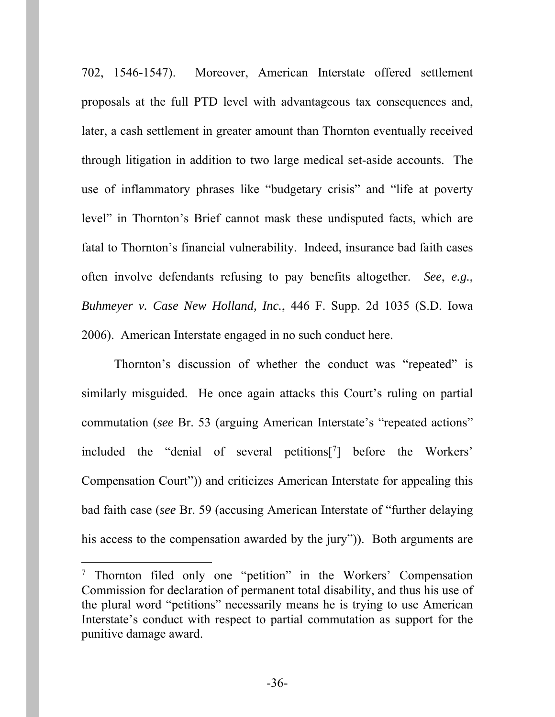702, 1546-1547). Moreover, American Interstate offered settlement proposals at the full PTD level with advantageous tax consequences and, later, a cash settlement in greater amount than Thornton eventually received through litigation in addition to two large medical set-aside accounts. The use of inflammatory phrases like "budgetary crisis" and "life at poverty level" in Thornton's Brief cannot mask these undisputed facts, which are fatal to Thornton's financial vulnerability. Indeed, insurance bad faith cases often involve defendants refusing to pay benefits altogether. *See*, *e.g.*, *Buhmeyer v. Case New Holland, Inc.*, 446 F. Supp. 2d 1035 (S.D. Iowa 2006). American Interstate engaged in no such conduct here.

Thornton's discussion of whether the conduct was "repeated" is similarly misguided. He once again attacks this Court's ruling on partial commutation (*see* Br. 53 (arguing American Interstate's "repeated actions" included the "denial of several petitions[7 ] before the Workers' Compensation Court")) and criticizes American Interstate for appealing this bad faith case (*see* Br. 59 (accusing American Interstate of "further delaying his access to the compensation awarded by the jury")). Both arguments are

 $\overline{a}$ 

<sup>&</sup>lt;sup>7</sup> Thornton filed only one "petition" in the Workers' Compensation Commission for declaration of permanent total disability, and thus his use of the plural word "petitions" necessarily means he is trying to use American Interstate's conduct with respect to partial commutation as support for the punitive damage award.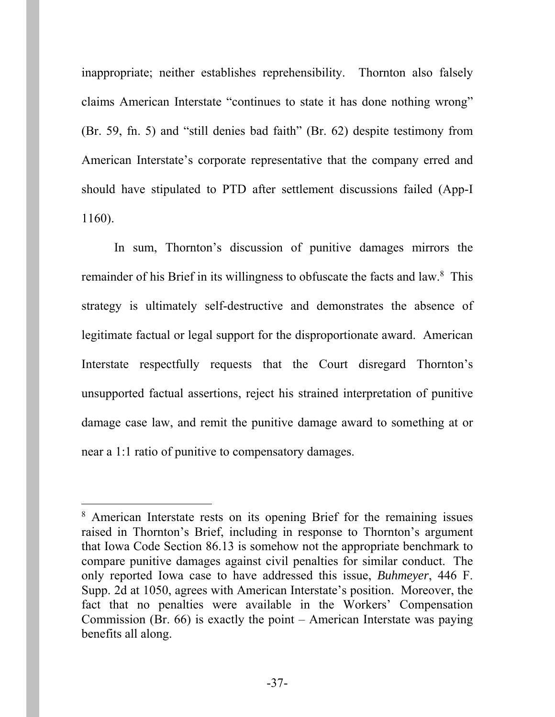inappropriate; neither establishes reprehensibility. Thornton also falsely claims American Interstate "continues to state it has done nothing wrong" (Br. 59, fn. 5) and "still denies bad faith" (Br. 62) despite testimony from American Interstate's corporate representative that the company erred and should have stipulated to PTD after settlement discussions failed (App-I 1160).

In sum, Thornton's discussion of punitive damages mirrors the remainder of his Brief in its willingness to obfuscate the facts and law.<sup>8</sup> This strategy is ultimately self-destructive and demonstrates the absence of legitimate factual or legal support for the disproportionate award. American Interstate respectfully requests that the Court disregard Thornton's unsupported factual assertions, reject his strained interpretation of punitive damage case law, and remit the punitive damage award to something at or near a 1:1 ratio of punitive to compensatory damages.

 $\overline{a}$ 

<sup>8</sup> American Interstate rests on its opening Brief for the remaining issues raised in Thornton's Brief, including in response to Thornton's argument that Iowa Code Section 86.13 is somehow not the appropriate benchmark to compare punitive damages against civil penalties for similar conduct. The only reported Iowa case to have addressed this issue, *Buhmeyer*, 446 F. Supp. 2d at 1050, agrees with American Interstate's position. Moreover, the fact that no penalties were available in the Workers' Compensation Commission (Br. 66) is exactly the point – American Interstate was paying benefits all along.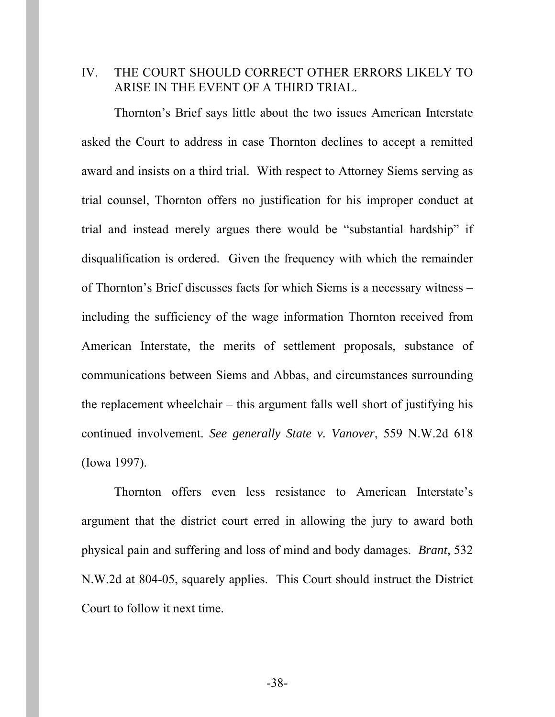### IV. THE COURT SHOULD CORRECT OTHER ERRORS LIKELY TO ARISE IN THE EVENT OF A THIRD TRIAL.

Thornton's Brief says little about the two issues American Interstate asked the Court to address in case Thornton declines to accept a remitted award and insists on a third trial. With respect to Attorney Siems serving as trial counsel, Thornton offers no justification for his improper conduct at trial and instead merely argues there would be "substantial hardship" if disqualification is ordered. Given the frequency with which the remainder of Thornton's Brief discusses facts for which Siems is a necessary witness – including the sufficiency of the wage information Thornton received from American Interstate, the merits of settlement proposals, substance of communications between Siems and Abbas, and circumstances surrounding the replacement wheelchair – this argument falls well short of justifying his continued involvement. *See generally State v. Vanover*, 559 N.W.2d 618 (Iowa 1997).

Thornton offers even less resistance to American Interstate's argument that the district court erred in allowing the jury to award both physical pain and suffering and loss of mind and body damages. *Brant*, 532 N.W.2d at 804-05, squarely applies. This Court should instruct the District Court to follow it next time.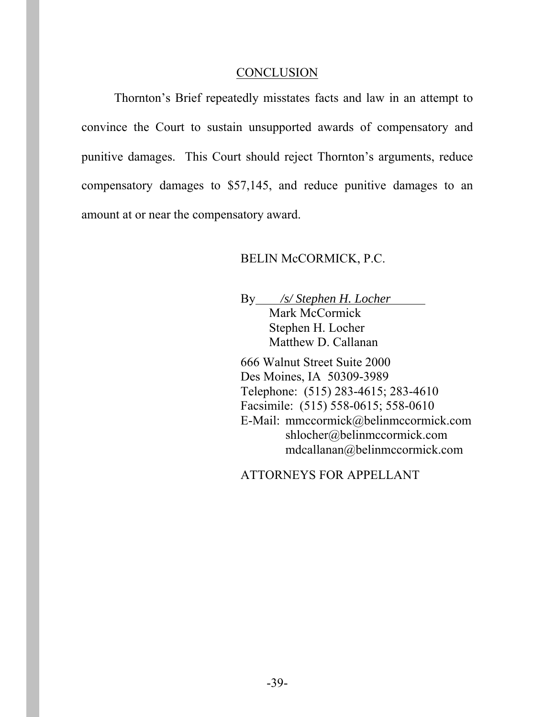#### **CONCLUSION**

Thornton's Brief repeatedly misstates facts and law in an attempt to convince the Court to sustain unsupported awards of compensatory and punitive damages. This Court should reject Thornton's arguments, reduce compensatory damages to \$57,145, and reduce punitive damages to an amount at or near the compensatory award.

#### BELIN McCORMICK, P.C.

By */s/ Stephen H. Locher* Mark McCormick Stephen H. Locher Matthew D. Callanan

666 Walnut Street Suite 2000 Des Moines, IA 50309-3989 Telephone: (515) 283-4615; 283-4610 Facsimile: (515) 558-0615; 558-0610 E-Mail: mmccormick@belinmccormick.com shlocher@belinmccormick.com mdcallanan@belinmccormick.com

ATTORNEYS FOR APPELLANT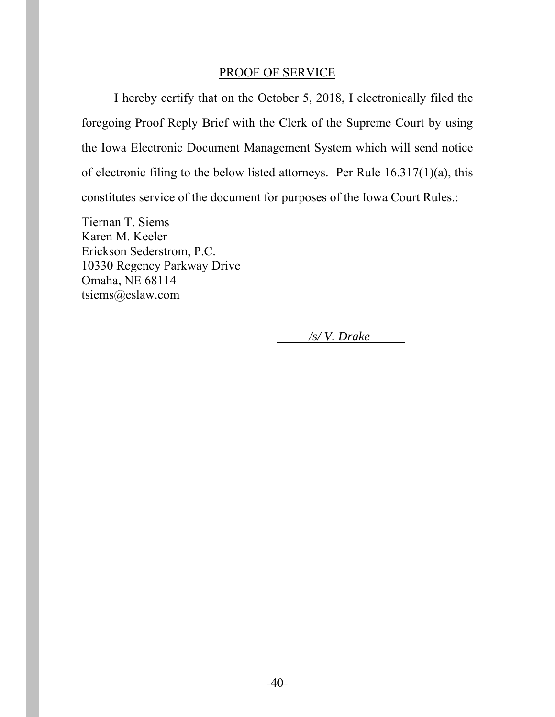#### PROOF OF SERVICE

I hereby certify that on the October 5, 2018, I electronically filed the foregoing Proof Reply Brief with the Clerk of the Supreme Court by using the Iowa Electronic Document Management System which will send notice of electronic filing to the below listed attorneys. Per Rule 16.317(1)(a), this constitutes service of the document for purposes of the Iowa Court Rules.:

Tiernan T. Siems Karen M. Keeler Erickson Sederstrom, P.C. 10330 Regency Parkway Drive Omaha, NE 68114 tsiems@eslaw.com

*/s/ V. Drake*